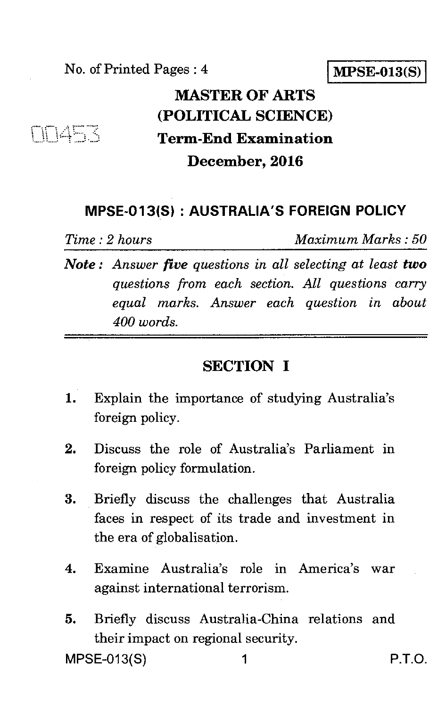No. of Printed Pages : 4 **MPSE-013(S)** 

## **MASTER OF ARTS (POLITICAL SCIENCE) Term-End Examination December, 2016**

#### **MPSE-013(S) : AUSTRALIA'S FOREIGN POLICY**

ENGER

*Time : 2 hours Maximum Marks : 50* 

*Note : Answer five questions in all selecting at least two questions from each section. All questions carry equal marks. Answer each question in about 400 words.* 

### **SECTION I**

- 1. Explain the importance of studying Australia's foreign policy.
- 2. Discuss the role of Australia's Parliament in foreign policy formulation.
- 3. Briefly discuss the challenges that Australia faces in respect of its trade and investment in the era of globalisation.
- 4. Examine Australia's role in America's war against international terrorism.
- 5. Briefly discuss Australia-China relations and their impact on regional security.

MPSE-013(S) 1 P.T.O.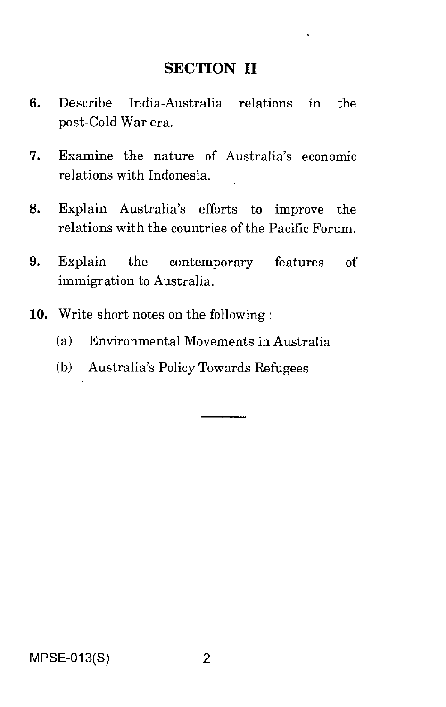#### **SECTION II**

- 6. Describe India-Australia relations in the post-Cold War era.
- 7. Examine the nature of Australia's economic relations with Indonesia.
- 8. Explain Australia's efforts to improve the relations with the countries of the Pacific Forum.
- 9. Explain the contemporary features of immigration to Australia.
- 10. Write short notes on the following :
	- (a) Environmental Movements in Australia
	- (b) Australia's Policy Towards Refugees

MPSE-013(S) 2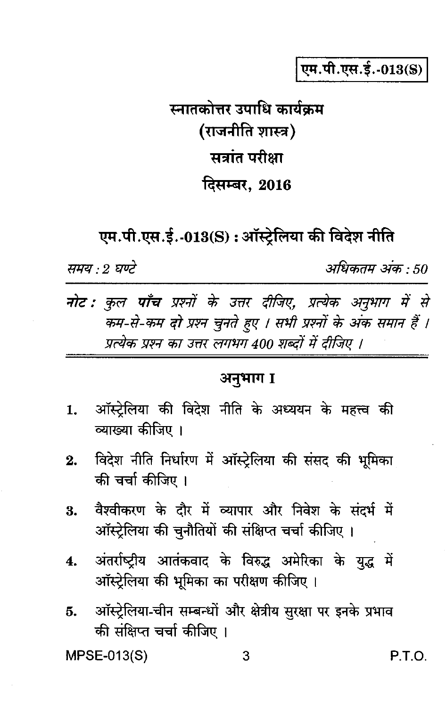एम.पी.एस.ई.-013(S)

# स्नातकोत्तर उपाधि कार्यक्रम (राजनीति शास्त्र) सत्रांत परीक्षा दिसम्बर. 2016

एम.पी.एस.ई.-013(S) : ऑस्ट्रेलिया की विदेश नीति

समय : २ घण्टे

अधिकतम अंक : 50

**नोट : कुल पाँच** प्रश्नों के उत्तर दीजिए, प्रत्येक अनुभाग में से कम-से-कम दो प्रश्न चुनते हुए । सभी प्रश्नों के अंक समान हैं । प्रत्येक प्रश्न का उत्तर लगभग 400 शब्दों में दीजिए ।

#### अनुभाग I

- ऑस्टेलिया की विदेश नीति के अध्ययन के महत्त्व की 1. व्याख्या कीजिए ।
- $2.$ विदेश नीति निर्धारण में ऑस्ट्रेलिया की संसद की भूमिका की चर्चा कीजिए ।
- वैश्वीकरण के दौर में व्यापार और निवेश के संदर्भ में 3. ऑस्ट्रेलिया की चुनौतियों की संक्षिप्त चर्चा कीजिए।
- अंतर्राष्ट्रीय आतंकवाद के विरुद्ध अमेरिका के युद्ध में 4. ऑस्ट्रेलिया की भूमिका का परीक्षण कीजिए।
- ऑस्ट्रेलिया-चीन सम्बन्धों और क्षेत्रीय सुरक्षा पर इनके प्रभाव 5. की संक्षिप्त चर्चा कीजिए ।

MPSE-013(S)

P.T.O.